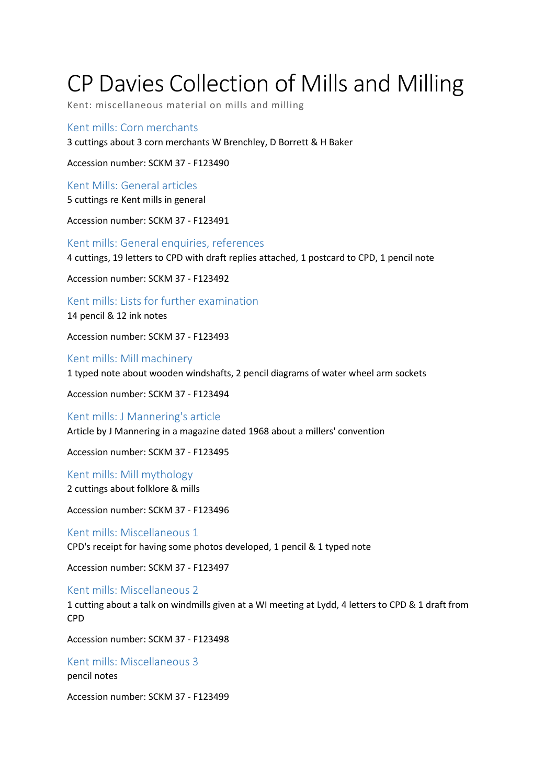## CP Davies Collection of Mills and Milling

Kent: miscellaneous material on mills and milling

Kent mills: Corn merchants 3 cuttings about 3 corn merchants W Brenchley, D Borrett & H Baker

Accession number: SCKM 37 - F123490

Kent Mills: General articles 5 cuttings re Kent mills in general

Accession number: SCKM 37 - F123491

Kent mills: General enquiries, references 4 cuttings, 19 letters to CPD with draft replies attached, 1 postcard to CPD, 1 pencil note

Accession number: SCKM 37 - F123492

Kent mills: Lists for further examination

14 pencil & 12 ink notes

Accession number: SCKM 37 - F123493

Kent mills: Mill machinery 1 typed note about wooden windshafts, 2 pencil diagrams of water wheel arm sockets

Accession number: SCKM 37 - F123494

Kent mills: J Mannering's article Article by J Mannering in a magazine dated 1968 about a millers' convention

Accession number: SCKM 37 - F123495

Kent mills: Mill mythology

2 cuttings about folklore & mills

Accession number: SCKM 37 - F123496

Kent mills: Miscellaneous 1 CPD's receipt for having some photos developed, 1 pencil & 1 typed note

Accession number: SCKM 37 - F123497

Kent mills: Miscellaneous 2

1 cutting about a talk on windmills given at a WI meeting at Lydd, 4 letters to CPD & 1 draft from CPD

Accession number: SCKM 37 - F123498

Kent mills: Miscellaneous 3

pencil notes

Accession number: SCKM 37 - F123499